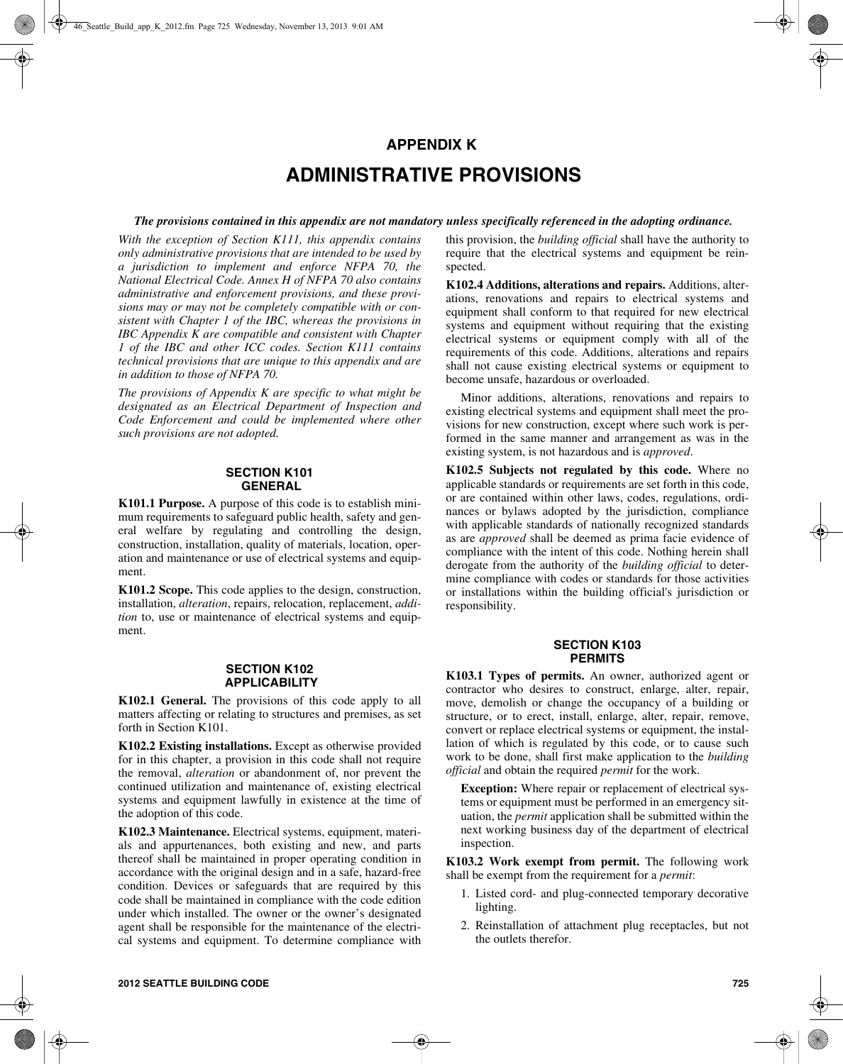# **APPENDIX K ADMINISTRATIVE PROVISIONS**

#### *The provisions contained in this appendix are not mandatory unless specifically referenced in the adopting ordinance.*

*With the exception of Section K111, this appendix contains only administrative provisions that are intended to be used by a jurisdiction to implement and enforce NFPA 70, the National Electrical Code. Annex H of NFPA 70 also contains administrative and enforcement provisions, and these provisions may or may not be completely compatible with or consistent with Chapter 1 of the IBC, whereas the provisions in IBC Appendix K are compatible and consistent with Chapter 1 of the IBC and other ICC codes. Section K111 contains technical provisions that are unique to this appendix and are in addition to those of NFPA 70.*

*The provisions of Appendix K are specific to what might be designated as an Electrical Department of Inspection and Code Enforcement and could be implemented where other such provisions are not adopted.*

#### **SECTION K101 GENERAL**

**K101.1 Purpose.** A purpose of this code is to establish minimum requirements to safeguard public health, safety and general welfare by regulating and controlling the design, construction, installation, quality of materials, location, operation and maintenance or use of electrical systems and equipment.

**K101.2 Scope.** This code applies to the design, construction, installation, *alteration*, repairs, relocation, replacement, *addition* to, use or maintenance of electrical systems and equipment.

## **SECTION K102 APPLICABILITY**

**K102.1 General.** The provisions of this code apply to all matters affecting or relating to structures and premises, as set forth in Section K101.

**K102.2 Existing installations.** Except as otherwise provided for in this chapter, a provision in this code shall not require the removal, *alteration* or abandonment of, nor prevent the continued utilization and maintenance of, existing electrical systems and equipment lawfully in existence at the time of the adoption of this code.

**K102.3 Maintenance.** Electrical systems, equipment, materials and appurtenances, both existing and new, and parts thereof shall be maintained in proper operating condition in accordance with the original design and in a safe, hazard-free condition. Devices or safeguards that are required by this code shall be maintained in compliance with the code edition under which installed. The owner or the owner's designated agent shall be responsible for the maintenance of the electrical systems and equipment. To determine compliance with this provision, the *building official* shall have the authority to require that the electrical systems and equipment be reinspected.

**K102.4 Additions, alterations and repairs.** Additions, alterations, renovations and repairs to electrical systems and equipment shall conform to that required for new electrical systems and equipment without requiring that the existing electrical systems or equipment comply with all of the requirements of this code. Additions, alterations and repairs shall not cause existing electrical systems or equipment to become unsafe, hazardous or overloaded.

Minor additions, alterations, renovations and repairs to existing electrical systems and equipment shall meet the provisions for new construction, except where such work is performed in the same manner and arrangement as was in the existing system, is not hazardous and is *approved*.

**K102.5 Subjects not regulated by this code.** Where no applicable standards or requirements are set forth in this code, or are contained within other laws, codes, regulations, ordinances or bylaws adopted by the jurisdiction, compliance with applicable standards of nationally recognized standards as are *approved* shall be deemed as prima facie evidence of compliance with the intent of this code. Nothing herein shall derogate from the authority of the *building official* to determine compliance with codes or standards for those activities or installations within the building official's jurisdiction or responsibility.

#### **SECTION K103 PERMITS**

**K103.1 Types of permits.** An owner, authorized agent or contractor who desires to construct, enlarge, alter, repair, move, demolish or change the occupancy of a building or structure, or to erect, install, enlarge, alter, repair, remove, convert or replace electrical systems or equipment, the installation of which is regulated by this code, or to cause such work to be done, shall first make application to the *building official* and obtain the required *permit* for the work.

**Exception:** Where repair or replacement of electrical systems or equipment must be performed in an emergency situation, the *permit* application shall be submitted within the next working business day of the department of electrical inspection.

**K103.2 Work exempt from permit.** The following work shall be exempt from the requirement for a *permit*:

- 1. Listed cord- and plug-connected temporary decorative lighting.
- 2. Reinstallation of attachment plug receptacles, but not the outlets therefor.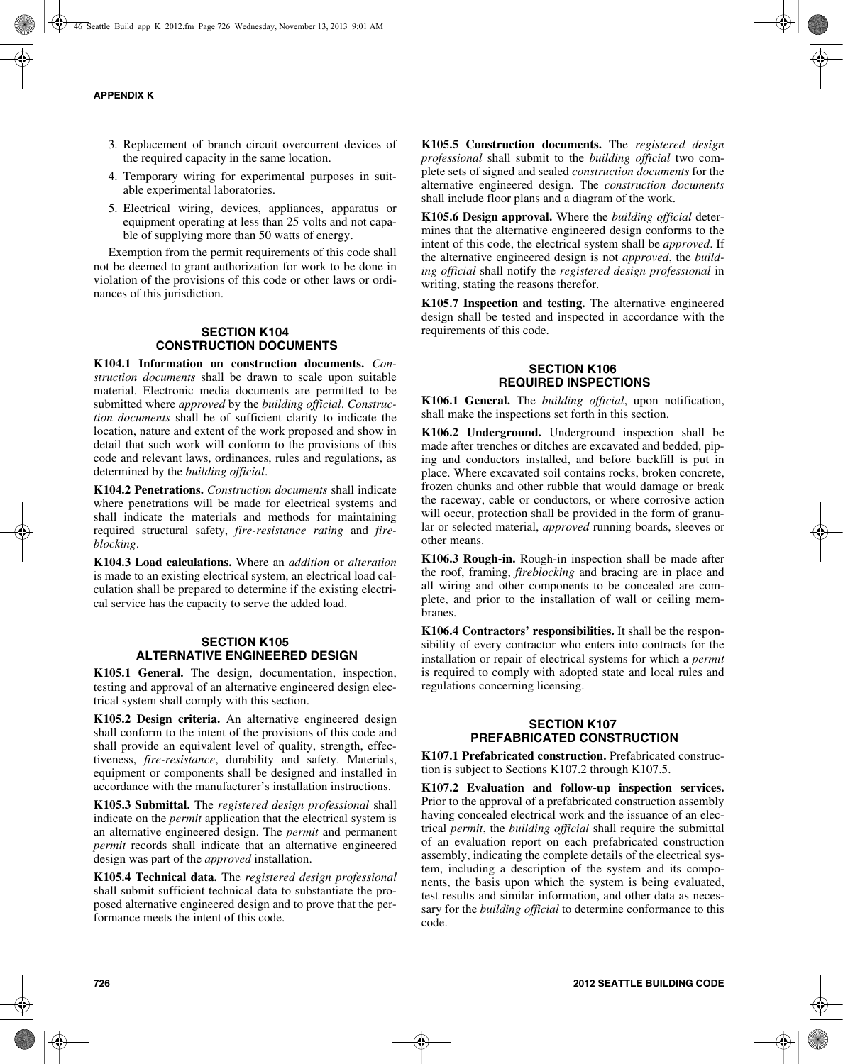- 3. Replacement of branch circuit overcurrent devices of the required capacity in the same location.
- 4. Temporary wiring for experimental purposes in suitable experimental laboratories.
- 5. Electrical wiring, devices, appliances, apparatus or equipment operating at less than 25 volts and not capable of supplying more than 50 watts of energy.

Exemption from the permit requirements of this code shall not be deemed to grant authorization for work to be done in violation of the provisions of this code or other laws or ordinances of this jurisdiction.

## **SECTION K104 CONSTRUCTION DOCUMENTS**

**K104.1 Information on construction documents.** *Construction documents* shall be drawn to scale upon suitable material. Electronic media documents are permitted to be submitted where *approved* by the *building official*. *Construction documents* shall be of sufficient clarity to indicate the location, nature and extent of the work proposed and show in detail that such work will conform to the provisions of this code and relevant laws, ordinances, rules and regulations, as determined by the *building official*.

**K104.2 Penetrations.** *Construction documents* shall indicate where penetrations will be made for electrical systems and shall indicate the materials and methods for maintaining required structural safety, *fire-resistance rating* and *fireblocking*.

**K104.3 Load calculations.** Where an *addition* or *alteration* is made to an existing electrical system, an electrical load calculation shall be prepared to determine if the existing electrical service has the capacity to serve the added load.

## **SECTION K105 ALTERNATIVE ENGINEERED DESIGN**

**K105.1 General.** The design, documentation, inspection, testing and approval of an alternative engineered design electrical system shall comply with this section.

**K105.2 Design criteria.** An alternative engineered design shall conform to the intent of the provisions of this code and shall provide an equivalent level of quality, strength, effectiveness, *fire-resistance*, durability and safety. Materials, equipment or components shall be designed and installed in accordance with the manufacturer's installation instructions.

**K105.3 Submittal.** The *registered design professional* shall indicate on the *permit* application that the electrical system is an alternative engineered design. The *permit* and permanent *permit* records shall indicate that an alternative engineered design was part of the *approved* installation.

**K105.4 Technical data.** The *registered design professional* shall submit sufficient technical data to substantiate the proposed alternative engineered design and to prove that the performance meets the intent of this code.

**K105.5 Construction documents.** The *registered design professional* shall submit to the *building official* two complete sets of signed and sealed *construction documents* for the alternative engineered design. The *construction documents* shall include floor plans and a diagram of the work.

**K105.6 Design approval.** Where the *building official* determines that the alternative engineered design conforms to the intent of this code, the electrical system shall be *approved*. If the alternative engineered design is not *approved*, the *building official* shall notify the *registered design professional* in writing, stating the reasons therefor.

**K105.7 Inspection and testing.** The alternative engineered design shall be tested and inspected in accordance with the requirements of this code.

## **SECTION K106 REQUIRED INSPECTIONS**

**K106.1 General.** The *building official*, upon notification, shall make the inspections set forth in this section.

**K106.2 Underground.** Underground inspection shall be made after trenches or ditches are excavated and bedded, piping and conductors installed, and before backfill is put in place. Where excavated soil contains rocks, broken concrete, frozen chunks and other rubble that would damage or break the raceway, cable or conductors, or where corrosive action will occur, protection shall be provided in the form of granular or selected material, *approved* running boards, sleeves or other means.

**K106.3 Rough-in.** Rough-in inspection shall be made after the roof, framing, *fireblocking* and bracing are in place and all wiring and other components to be concealed are complete, and prior to the installation of wall or ceiling membranes.

**K106.4 Contractors' responsibilities.** It shall be the responsibility of every contractor who enters into contracts for the installation or repair of electrical systems for which a *permit* is required to comply with adopted state and local rules and regulations concerning licensing.

## **SECTION K107 PREFABRICATED CONSTRUCTION**

**K107.1 Prefabricated construction.** Prefabricated construction is subject to Sections K107.2 through K107.5.

**K107.2 Evaluation and follow-up inspection services.** Prior to the approval of a prefabricated construction assembly having concealed electrical work and the issuance of an electrical *permit*, the *building official* shall require the submittal of an evaluation report on each prefabricated construction assembly, indicating the complete details of the electrical system, including a description of the system and its components, the basis upon which the system is being evaluated, test results and similar information, and other data as necessary for the *building official* to determine conformance to this code.